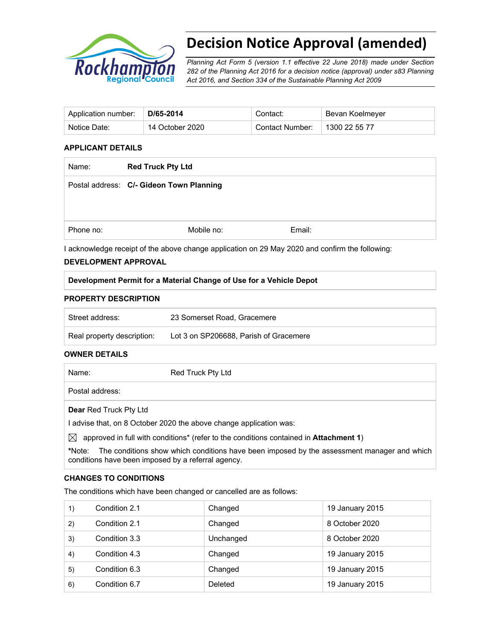

# **Decision Notice Approval (amended)**

*Planning Act Form 5 (version 1.1 effective 22 June 2018) made under Section 282 of the Planning Act 2016 for a decision notice (approval) under s83 Planning Act 2016, and Section 334 of the Sustainable Planning Act 2009*

| Application number: | D/65-2014       | Contact:        | Bevan Koelmeyer |
|---------------------|-----------------|-----------------|-----------------|
| Notice Date:        | 14 October 2020 | Contact Number: | 1300 22 55 77   |

#### **APPLICANT DETAILS**

| <b>Red Truck Pty Ltd</b> |                                          |  |
|--------------------------|------------------------------------------|--|
|                          |                                          |  |
|                          |                                          |  |
|                          |                                          |  |
| Mobile no:               | Email:                                   |  |
|                          | Postal address: C/- Gideon Town Planning |  |

I acknowledge receipt of the above change application on 29 May 2020 and confirm the following:

#### **DEVELOPMENT APPROVAL**

#### **Development Permit for a Material Change of Use for a Vehicle Depot**

#### **PROPERTY DESCRIPTION**

| Street address:            | 23 Somerset Road, Gracemere            |
|----------------------------|----------------------------------------|
| Real property description: | Lot 3 on SP206688, Parish of Gracemere |

#### **OWNER DETAILS**

| Name:                         | Red Truck Pty Ltd |
|-------------------------------|-------------------|
| Postal address:               |                   |
| <b>Dear Red Truck Pty Ltd</b> |                   |

I advise that, on 8 October 2020 the above change application was:

 $\boxtimes$  approved in full with conditions<sup>\*</sup> (refer to the conditions contained in **Attachment 1**)

**\***Note:The conditions show which conditions have been imposed by the assessment manager and which conditions have been imposed by a referral agency.

#### **CHANGES TO CONDITIONS**

The conditions which have been changed or cancelled are as follows:

| 1) | Condition 2.1 | Changed   | 19 January 2015 |
|----|---------------|-----------|-----------------|
| 2) | Condition 2.1 | Changed   | 8 October 2020  |
| 3) | Condition 3.3 | Unchanged | 8 October 2020  |
| 4) | Condition 4.3 | Changed   | 19 January 2015 |
| 5) | Condition 6.3 | Changed   | 19 January 2015 |
| 6) | Condition 6.7 | Deleted   | 19 January 2015 |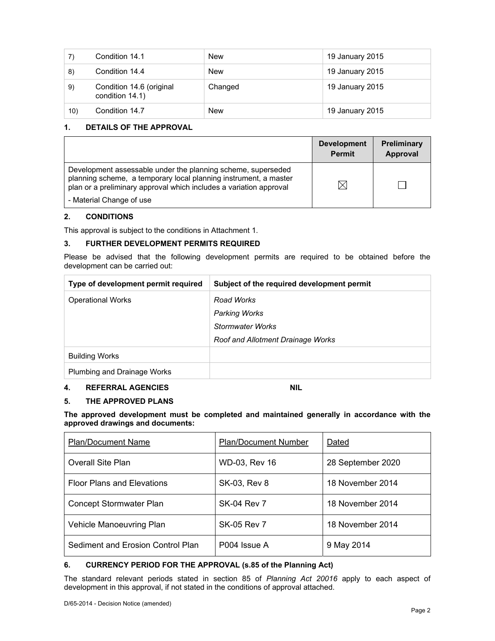| 7)  | Condition 14.1                              | <b>New</b> | 19 January 2015 |
|-----|---------------------------------------------|------------|-----------------|
| 8)  | Condition 14.4                              | New        | 19 January 2015 |
| 9)  | Condition 14.6 (original<br>condition 14.1) | Changed    | 19 January 2015 |
| 10) | Condition 14.7                              | <b>New</b> | 19 January 2015 |

#### **1. DETAILS OF THE APPROVAL**

|                                                                                                                                                                                                        | <b>Development</b><br><b>Permit</b> | <b>Preliminary</b><br>Approval |
|--------------------------------------------------------------------------------------------------------------------------------------------------------------------------------------------------------|-------------------------------------|--------------------------------|
| Development assessable under the planning scheme, superseded<br>planning scheme, a temporary local planning instrument, a master<br>plan or a preliminary approval which includes a variation approval | M                                   |                                |
| - Material Change of use                                                                                                                                                                               |                                     |                                |

#### **2. CONDITIONS**

This approval is subject to the conditions in Attachment 1.

#### **3. FURTHER DEVELOPMENT PERMITS REQUIRED**

Please be advised that the following development permits are required to be obtained before the development can be carried out:

| Type of development permit required | Subject of the required development permit |
|-------------------------------------|--------------------------------------------|
| <b>Operational Works</b>            | Road Works                                 |
|                                     | <b>Parking Works</b>                       |
|                                     | Stormwater Works                           |
|                                     | <b>Roof and Allotment Drainage Works</b>   |
| <b>Building Works</b>               |                                            |
| Plumbing and Drainage Works         |                                            |

#### **4. REFERRAL AGENCIES NIL**

### **5. THE APPROVED PLANS**

**The approved development must be completed and maintained generally in accordance with the approved drawings and documents:** 

| <b>Plan/Document Name</b>         | <b>Plan/Document Number</b> | Dated             |
|-----------------------------------|-----------------------------|-------------------|
| <b>Overall Site Plan</b>          | WD-03, Rev 16               | 28 September 2020 |
| <b>Floor Plans and Elevations</b> | SK-03, Rev 8                | 18 November 2014  |
| <b>Concept Stormwater Plan</b>    | <b>SK-04 Rev 7</b>          | 18 November 2014  |
| Vehicle Manoeuvring Plan          | <b>SK-05 Rev 7</b>          | 18 November 2014  |
| Sediment and Erosion Control Plan | P004 Issue A                | 9 May 2014        |

#### **6. CURRENCY PERIOD FOR THE APPROVAL (s.85 of the Planning Act)**

The standard relevant periods stated in section 85 of *Planning Act 20016* apply to each aspect of development in this approval, if not stated in the conditions of approval attached.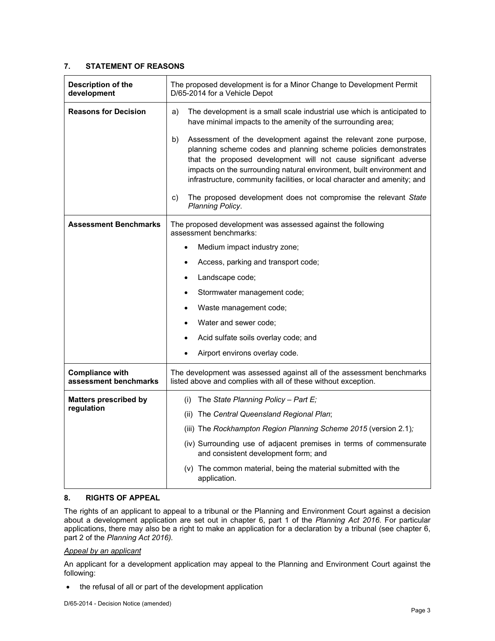#### **7. STATEMENT OF REASONS**

| Description of the<br>development               | The proposed development is for a Minor Change to Development Permit<br>D/65-2014 for a Vehicle Depot                                                                                                                                                                                                                                                               |
|-------------------------------------------------|---------------------------------------------------------------------------------------------------------------------------------------------------------------------------------------------------------------------------------------------------------------------------------------------------------------------------------------------------------------------|
| <b>Reasons for Decision</b>                     | The development is a small scale industrial use which is anticipated to<br>a)<br>have minimal impacts to the amenity of the surrounding area;                                                                                                                                                                                                                       |
|                                                 | Assessment of the development against the relevant zone purpose,<br>b)<br>planning scheme codes and planning scheme policies demonstrates<br>that the proposed development will not cause significant adverse<br>impacts on the surrounding natural environment, built environment and<br>infrastructure, community facilities, or local character and amenity; and |
|                                                 | The proposed development does not compromise the relevant State<br>C)<br>Planning Policy.                                                                                                                                                                                                                                                                           |
| <b>Assessment Benchmarks</b>                    | The proposed development was assessed against the following<br>assessment benchmarks:                                                                                                                                                                                                                                                                               |
|                                                 | Medium impact industry zone;                                                                                                                                                                                                                                                                                                                                        |
|                                                 | Access, parking and transport code;<br>$\bullet$                                                                                                                                                                                                                                                                                                                    |
|                                                 | Landscape code;<br>$\bullet$                                                                                                                                                                                                                                                                                                                                        |
|                                                 | Stormwater management code;<br>$\bullet$                                                                                                                                                                                                                                                                                                                            |
|                                                 | Waste management code;<br>$\bullet$                                                                                                                                                                                                                                                                                                                                 |
|                                                 | Water and sewer code;<br>$\bullet$                                                                                                                                                                                                                                                                                                                                  |
|                                                 | Acid sulfate soils overlay code; and<br>$\bullet$                                                                                                                                                                                                                                                                                                                   |
|                                                 | Airport environs overlay code.<br>$\bullet$                                                                                                                                                                                                                                                                                                                         |
| <b>Compliance with</b><br>assessment benchmarks | The development was assessed against all of the assessment benchmarks<br>listed above and complies with all of these without exception.                                                                                                                                                                                                                             |
| <b>Matters prescribed by</b>                    | (i) The State Planning Policy - Part $E_i$                                                                                                                                                                                                                                                                                                                          |
| regulation                                      | (ii) The Central Queensland Regional Plan;                                                                                                                                                                                                                                                                                                                          |
|                                                 | (iii) The Rockhampton Region Planning Scheme 2015 (version 2.1);                                                                                                                                                                                                                                                                                                    |
|                                                 | (iv) Surrounding use of adjacent premises in terms of commensurate<br>and consistent development form; and                                                                                                                                                                                                                                                          |
|                                                 | (v) The common material, being the material submitted with the<br>application.                                                                                                                                                                                                                                                                                      |

#### **8. RIGHTS OF APPEAL**

The rights of an applicant to appeal to a tribunal or the Planning and Environment Court against a decision about a development application are set out in chapter 6, part 1 of the *Planning Act 2016*. For particular applications, there may also be a right to make an application for a declaration by a tribunal (see chapter 6, part 2 of the *Planning Act 2016).*

#### *Appeal by an applicant*

An applicant for a development application may appeal to the Planning and Environment Court against the following:

• the refusal of all or part of the development application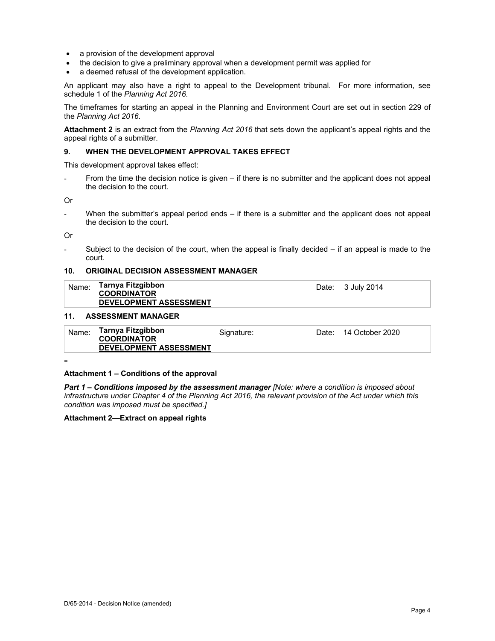- a provision of the development approval
- the decision to give a preliminary approval when a development permit was applied for
- a deemed refusal of the development application.

An applicant may also have a right to appeal to the Development tribunal. For more information, see schedule 1 of the *Planning Act 2016*.

The timeframes for starting an appeal in the Planning and Environment Court are set out in section 229 of the *Planning Act 2016*.

**Attachment 2** is an extract from the *Planning Act 2016* that sets down the applicant's appeal rights and the appeal rights of a submitter.

#### **9. WHEN THE DEVELOPMENT APPROVAL TAKES EFFECT**

This development approval takes effect:

From the time the decision notice is given – if there is no submitter and the applicant does not appeal the decision to the court.

Or

When the submitter's appeal period ends – if there is a submitter and the applicant does not appeal the decision to the court.

Or

Subject to the decision of the court, when the appeal is finally decided  $-$  if an appeal is made to the court.

#### **10. ORIGINAL DECISION ASSESSMENT MANAGER**

| Name: | Tarnya Fitzgibbon             |
|-------|-------------------------------|
|       | <b>COORDINATOR</b>            |
|       | <b>DEVELOPMENT ASSESSMENT</b> |

Date: 3 July 2014

#### **11. ASSESSMENT MANAGER**

| Tarnya Fitzgibbon<br>Name:<br>14 October 2020<br>Date:<br>Signature:<br><b>COORDINATOR</b><br><b>DEVELOPMENT ASSESSMENT</b> |
|-----------------------------------------------------------------------------------------------------------------------------|
|-----------------------------------------------------------------------------------------------------------------------------|

=

#### **Attachment 1 – Conditions of the approval**

*Part 1* **–** *Conditions imposed by the assessment manager [Note: where a condition is imposed about infrastructure under Chapter 4 of the Planning Act 2016, the relevant provision of the Act under which this condition was imposed must be specified.]*

#### **Attachment 2—Extract on appeal rights**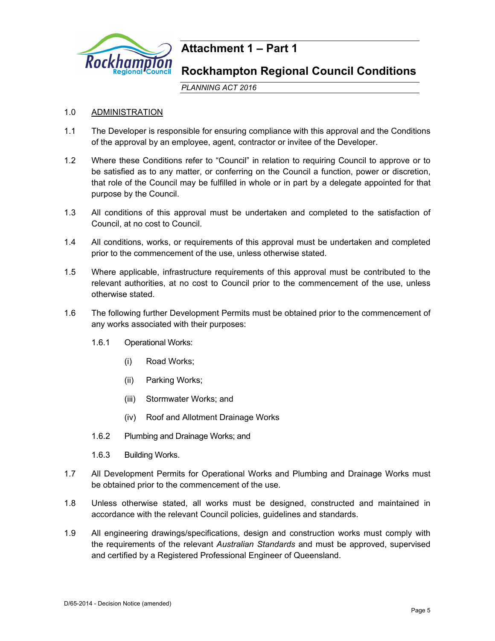

## **Attachment 1 – Part 1**

### **Rockhampton Regional Council Conditions**

*PLANNING ACT 2016*

#### 1.0 ADMINISTRATION

- 1.1 The Developer is responsible for ensuring compliance with this approval and the Conditions of the approval by an employee, agent, contractor or invitee of the Developer.
- 1.2 Where these Conditions refer to "Council" in relation to requiring Council to approve or to be satisfied as to any matter, or conferring on the Council a function, power or discretion, that role of the Council may be fulfilled in whole or in part by a delegate appointed for that purpose by the Council.
- 1.3 All conditions of this approval must be undertaken and completed to the satisfaction of Council, at no cost to Council.
- 1.4 All conditions, works, or requirements of this approval must be undertaken and completed prior to the commencement of the use, unless otherwise stated.
- 1.5 Where applicable, infrastructure requirements of this approval must be contributed to the relevant authorities, at no cost to Council prior to the commencement of the use, unless otherwise stated.
- 1.6 The following further Development Permits must be obtained prior to the commencement of any works associated with their purposes:
	- 1.6.1 Operational Works:
		- (i) Road Works;
		- (ii) Parking Works;
		- (iii) Stormwater Works; and
		- (iv) Roof and Allotment Drainage Works
	- 1.6.2 Plumbing and Drainage Works; and
	- 1.6.3 Building Works.
- 1.7 All Development Permits for Operational Works and Plumbing and Drainage Works must be obtained prior to the commencement of the use.
- 1.8 Unless otherwise stated, all works must be designed, constructed and maintained in accordance with the relevant Council policies, guidelines and standards.
- 1.9 All engineering drawings/specifications, design and construction works must comply with the requirements of the relevant *Australian Standards* and must be approved, supervised and certified by a Registered Professional Engineer of Queensland.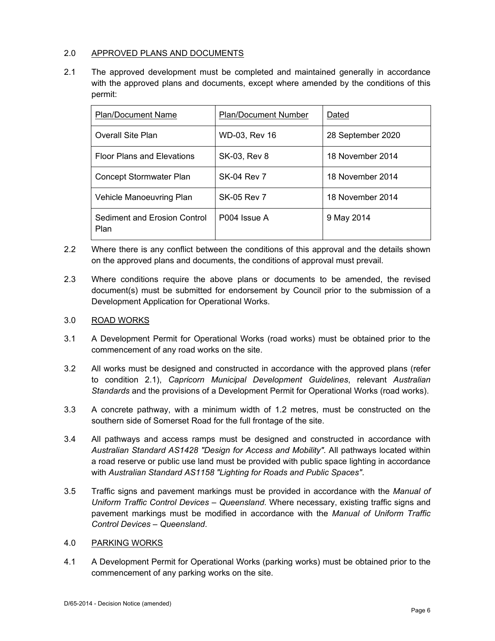#### 2.0 APPROVED PLANS AND DOCUMENTS

2.1 The approved development must be completed and maintained generally in accordance with the approved plans and documents, except where amended by the conditions of this permit:

| <b>Plan/Document Name</b>            | <b>Plan/Document Number</b><br>Dated |                   |
|--------------------------------------|--------------------------------------|-------------------|
| <b>Overall Site Plan</b>             | WD-03, Rev 16                        | 28 September 2020 |
| <b>Floor Plans and Elevations</b>    | SK-03, Rev 8                         | 18 November 2014  |
| <b>Concept Stormwater Plan</b>       | <b>SK-04 Rev 7</b>                   | 18 November 2014  |
| Vehicle Manoeuvring Plan             | SK-05 Rev 7                          | 18 November 2014  |
| Sediment and Erosion Control<br>Plan | P <sub>004</sub> Issue A             | 9 May 2014        |

- 2.2 Where there is any conflict between the conditions of this approval and the details shown on the approved plans and documents, the conditions of approval must prevail.
- 2.3 Where conditions require the above plans or documents to be amended, the revised document(s) must be submitted for endorsement by Council prior to the submission of a Development Application for Operational Works.

#### 3.0 ROAD WORKS

- 3.1 A Development Permit for Operational Works (road works) must be obtained prior to the commencement of any road works on the site.
- 3.2 All works must be designed and constructed in accordance with the approved plans (refer to condition 2.1), *Capricorn Municipal Development Guidelines*, relevant *Australian Standards* and the provisions of a Development Permit for Operational Works (road works).
- 3.3 A concrete pathway, with a minimum width of 1.2 metres, must be constructed on the southern side of Somerset Road for the full frontage of the site.
- 3.4 All pathways and access ramps must be designed and constructed in accordance with *Australian Standard AS1428 "Design for Access and Mobility"*. All pathways located within a road reserve or public use land must be provided with public space lighting in accordance with *Australian Standard AS1158 "Lighting for Roads and Public Spaces"*.
- 3.5 Traffic signs and pavement markings must be provided in accordance with the *Manual of Uniform Traffic Control Devices – Queensland*. Where necessary, existing traffic signs and pavement markings must be modified in accordance with the *Manual of Uniform Traffic Control Devices – Queensland*.

#### 4.0 PARKING WORKS

4.1 A Development Permit for Operational Works (parking works) must be obtained prior to the commencement of any parking works on the site.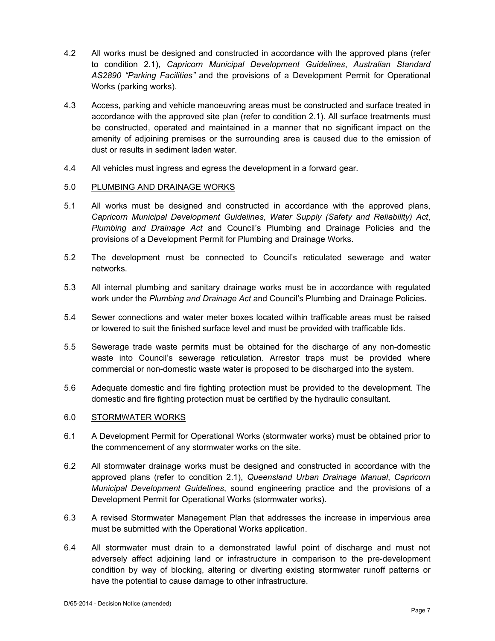- 4.2 All works must be designed and constructed in accordance with the approved plans (refer to condition 2.1), *Capricorn Municipal Development Guidelines*, *Australian Standard AS2890 "Parking Facilities"* and the provisions of a Development Permit for Operational Works (parking works).
- 4.3 Access, parking and vehicle manoeuvring areas must be constructed and surface treated in accordance with the approved site plan (refer to condition 2.1). All surface treatments must be constructed, operated and maintained in a manner that no significant impact on the amenity of adjoining premises or the surrounding area is caused due to the emission of dust or results in sediment laden water.
- 4.4 All vehicles must ingress and egress the development in a forward gear.

#### 5.0 PLUMBING AND DRAINAGE WORKS

- 5.1 All works must be designed and constructed in accordance with the approved plans, *Capricorn Municipal Development Guidelines*, *Water Supply (Safety and Reliability) Act*, *Plumbing and Drainage Act* and Council's Plumbing and Drainage Policies and the provisions of a Development Permit for Plumbing and Drainage Works.
- 5.2 The development must be connected to Council's reticulated sewerage and water networks.
- 5.3 All internal plumbing and sanitary drainage works must be in accordance with regulated work under the *Plumbing and Drainage Act* and Council's Plumbing and Drainage Policies.
- 5.4 Sewer connections and water meter boxes located within trafficable areas must be raised or lowered to suit the finished surface level and must be provided with trafficable lids.
- 5.5 Sewerage trade waste permits must be obtained for the discharge of any non-domestic waste into Council's sewerage reticulation. Arrestor traps must be provided where commercial or non-domestic waste water is proposed to be discharged into the system.
- 5.6 Adequate domestic and fire fighting protection must be provided to the development. The domestic and fire fighting protection must be certified by the hydraulic consultant.

#### 6.0 STORMWATER WORKS

- 6.1 A Development Permit for Operational Works (stormwater works) must be obtained prior to the commencement of any stormwater works on the site.
- 6.2 All stormwater drainage works must be designed and constructed in accordance with the approved plans (refer to condition 2.1), *Queensland Urban Drainage Manual*, *Capricorn Municipal Development Guidelines*, sound engineering practice and the provisions of a Development Permit for Operational Works (stormwater works).
- 6.3 A revised Stormwater Management Plan that addresses the increase in impervious area must be submitted with the Operational Works application.
- 6.4 All stormwater must drain to a demonstrated lawful point of discharge and must not adversely affect adjoining land or infrastructure in comparison to the pre-development condition by way of blocking, altering or diverting existing stormwater runoff patterns or have the potential to cause damage to other infrastructure.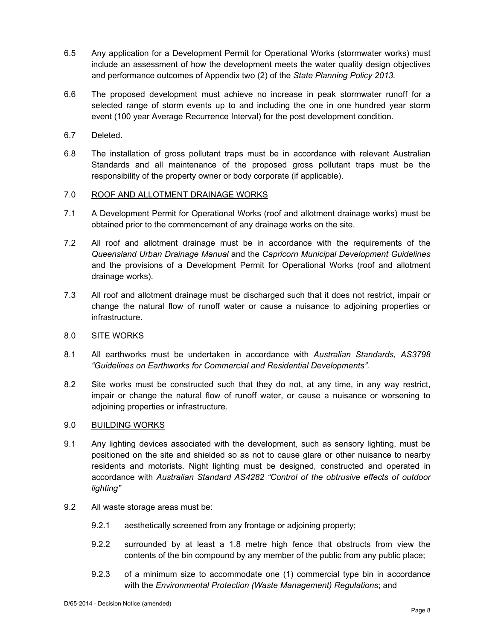- 6.5 Any application for a Development Permit for Operational Works (stormwater works) must include an assessment of how the development meets the water quality design objectives and performance outcomes of Appendix two (2) of the *State Planning Policy 2013.*
- 6.6 The proposed development must achieve no increase in peak stormwater runoff for a selected range of storm events up to and including the one in one hundred year storm event (100 year Average Recurrence Interval) for the post development condition.
- 6.7 Deleted.
- 6.8 The installation of gross pollutant traps must be in accordance with relevant Australian Standards and all maintenance of the proposed gross pollutant traps must be the responsibility of the property owner or body corporate (if applicable).

#### 7.0 ROOF AND ALLOTMENT DRAINAGE WORKS

- 7.1 A Development Permit for Operational Works (roof and allotment drainage works) must be obtained prior to the commencement of any drainage works on the site.
- 7.2 All roof and allotment drainage must be in accordance with the requirements of the *Queensland Urban Drainage Manual* and the *Capricorn Municipal Development Guidelines* and the provisions of a Development Permit for Operational Works (roof and allotment drainage works).
- 7.3 All roof and allotment drainage must be discharged such that it does not restrict, impair or change the natural flow of runoff water or cause a nuisance to adjoining properties or infrastructure.

### 8.0 SITE WORKS

- 8.1 All earthworks must be undertaken in accordance with *Australian Standards, AS3798 "Guidelines on Earthworks for Commercial and Residential Developments".*
- 8.2 Site works must be constructed such that they do not, at any time, in any way restrict, impair or change the natural flow of runoff water, or cause a nuisance or worsening to adjoining properties or infrastructure.

#### 9.0 BUILDING WORKS

- 9.1 Any lighting devices associated with the development, such as sensory lighting, must be positioned on the site and shielded so as not to cause glare or other nuisance to nearby residents and motorists. Night lighting must be designed, constructed and operated in accordance with *Australian Standard AS4282 "Control of the obtrusive effects of outdoor lighting"*
- 9.2 All waste storage areas must be:
	- 9.2.1 aesthetically screened from any frontage or adjoining property;
	- 9.2.2 surrounded by at least a 1.8 metre high fence that obstructs from view the contents of the bin compound by any member of the public from any public place;
	- 9.2.3 of a minimum size to accommodate one (1) commercial type bin in accordance with the *Environmental Protection (Waste Management) Regulations*; and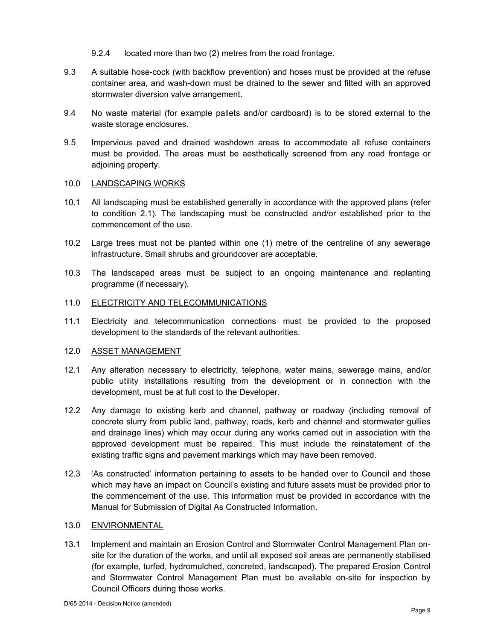- 9.2.4 located more than two (2) metres from the road frontage.
- 9.3 A suitable hose-cock (with backflow prevention) and hoses must be provided at the refuse container area, and wash-down must be drained to the sewer and fitted with an approved stormwater diversion valve arrangement.
- 9.4 No waste material (for example pallets and/or cardboard) is to be stored external to the waste storage enclosures.
- 9.5 Impervious paved and drained washdown areas to accommodate all refuse containers must be provided. The areas must be aesthetically screened from any road frontage or adjoining property.

#### 10.0 LANDSCAPING WORKS

- 10.1 All landscaping must be established generally in accordance with the approved plans (refer to condition 2.1). The landscaping must be constructed and/or established prior to the commencement of the use.
- 10.2 Large trees must not be planted within one (1) metre of the centreline of any sewerage infrastructure. Small shrubs and groundcover are acceptable.
- 10.3 The landscaped areas must be subject to an ongoing maintenance and replanting programme (if necessary).

#### 11.0 ELECTRICITY AND TELECOMMUNICATIONS

11.1 Electricity and telecommunication connections must be provided to the proposed development to the standards of the relevant authorities.

#### 12.0 ASSET MANAGEMENT

- 12.1 Any alteration necessary to electricity, telephone, water mains, sewerage mains, and/or public utility installations resulting from the development or in connection with the development, must be at full cost to the Developer.
- 12.2 Any damage to existing kerb and channel, pathway or roadway (including removal of concrete slurry from public land, pathway, roads, kerb and channel and stormwater gullies and drainage lines) which may occur during any works carried out in association with the approved development must be repaired. This must include the reinstatement of the existing traffic signs and pavement markings which may have been removed.
- 12.3 'As constructed' information pertaining to assets to be handed over to Council and those which may have an impact on Council's existing and future assets must be provided prior to the commencement of the use. This information must be provided in accordance with the Manual for Submission of Digital As Constructed Information.

#### 13.0 ENVIRONMENTAL

13.1 Implement and maintain an Erosion Control and Stormwater Control Management Plan onsite for the duration of the works, and until all exposed soil areas are permanently stabilised (for example, turfed, hydromulched, concreted, landscaped). The prepared Erosion Control and Stormwater Control Management Plan must be available on-site for inspection by Council Officers during those works.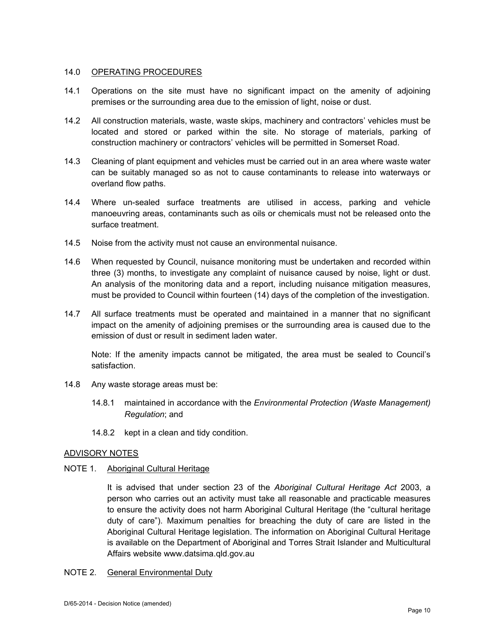#### 14.0 OPERATING PROCEDURES

- 14.1 Operations on the site must have no significant impact on the amenity of adjoining premises or the surrounding area due to the emission of light, noise or dust.
- 14.2 All construction materials, waste, waste skips, machinery and contractors' vehicles must be located and stored or parked within the site. No storage of materials, parking of construction machinery or contractors' vehicles will be permitted in Somerset Road.
- 14.3 Cleaning of plant equipment and vehicles must be carried out in an area where waste water can be suitably managed so as not to cause contaminants to release into waterways or overland flow paths.
- 14.4 Where un-sealed surface treatments are utilised in access, parking and vehicle manoeuvring areas, contaminants such as oils or chemicals must not be released onto the surface treatment.
- 14.5 Noise from the activity must not cause an environmental nuisance.
- 14.6 When requested by Council, nuisance monitoring must be undertaken and recorded within three (3) months, to investigate any complaint of nuisance caused by noise, light or dust. An analysis of the monitoring data and a report, including nuisance mitigation measures, must be provided to Council within fourteen (14) days of the completion of the investigation.
- 14.7 All surface treatments must be operated and maintained in a manner that no significant impact on the amenity of adjoining premises or the surrounding area is caused due to the emission of dust or result in sediment laden water.

Note: If the amenity impacts cannot be mitigated, the area must be sealed to Council's satisfaction.

- 14.8 Any waste storage areas must be:
	- 14.8.1 maintained in accordance with the *Environmental Protection (Waste Management) Regulation*; and
	- 14.8.2 kept in a clean and tidy condition.

#### ADVISORY NOTES

#### NOTE 1. Aboriginal Cultural Heritage

It is advised that under section 23 of the *Aboriginal Cultural Heritage Act* 2003, a person who carries out an activity must take all reasonable and practicable measures to ensure the activity does not harm Aboriginal Cultural Heritage (the "cultural heritage duty of care"). Maximum penalties for breaching the duty of care are listed in the Aboriginal Cultural Heritage legislation. The information on Aboriginal Cultural Heritage is available on the Department of Aboriginal and Torres Strait Islander and Multicultural Affairs website www.datsima.qld.gov.au

#### NOTE 2. General Environmental Duty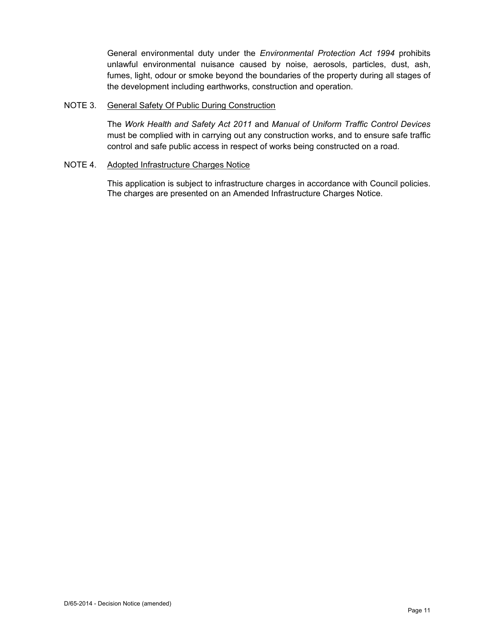General environmental duty under the *Environmental Protection Act 1994* prohibits unlawful environmental nuisance caused by noise, aerosols, particles, dust, ash, fumes, light, odour or smoke beyond the boundaries of the property during all stages of the development including earthworks, construction and operation.

#### NOTE 3. General Safety Of Public During Construction

The *Work Health and Safety Act 2011* and *Manual of Uniform Traffic Control Devices* must be complied with in carrying out any construction works, and to ensure safe traffic control and safe public access in respect of works being constructed on a road.

#### NOTE 4. Adopted Infrastructure Charges Notice

This application is subject to infrastructure charges in accordance with Council policies. The charges are presented on an Amended Infrastructure Charges Notice.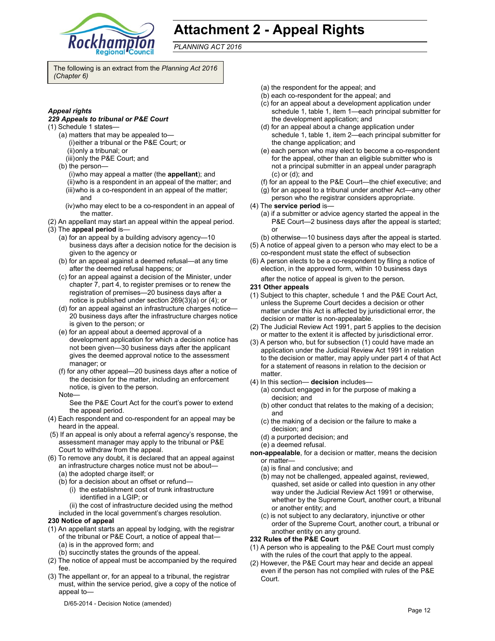

## **Attachment 2 - Appeal Rights**

*PLANNING ACT 2016*

The following is an extract from the *Planning Act 2016 (Chapter 6)* 

#### *Appeal rights*

#### *229 Appeals to tribunal or P&E Court*

- (1) Schedule 1 states—
	- (a) matters that may be appealed to— (i) either a tribunal or the P&E Court; or (ii) only a tribunal; or (iii) only the P&E Court; and
	- (b) the person—
		- (i) who may appeal a matter (the **appellant**); and
		- (ii) who is a respondent in an appeal of the matter; and
		- (iii) who is a co-respondent in an appeal of the matter; and
		- (iv) who may elect to be a co-respondent in an appeal of the matter.
- (2) An appellant may start an appeal within the appeal period.
- (3) The **appeal period** is—
	- (a) for an appeal by a building advisory agency—10 business days after a decision notice for the decision is given to the agency or
	- (b) for an appeal against a deemed refusal—at any time after the deemed refusal happens; or
	- (c) for an appeal against a decision of the Minister, under chapter 7, part 4, to register premises or to renew the registration of premises—20 business days after a notice is published under section 269(3)(a) or (4); or
	- (d) for an appeal against an infrastructure charges notice— 20 business days after the infrastructure charges notice is given to the person; or
	- (e) for an appeal about a deemed approval of a development application for which a decision notice has not been given—30 business days after the applicant gives the deemed approval notice to the assessment manager; or
	- (f) for any other appeal—20 business days after a notice of the decision for the matter, including an enforcement notice, is given to the person.
	- Note—

See the P&E Court Act for the court's power to extend the appeal period.

- (4) Each respondent and co-respondent for an appeal may be heard in the appeal.
- (5) If an appeal is only about a referral agency's response, the assessment manager may apply to the tribunal or P&E Court to withdraw from the appeal.
- (6) To remove any doubt, it is declared that an appeal against an infrastructure charges notice must not be about—
	- (a) the adopted charge itself; or
	- (b) for a decision about an offset or refund—
		- (i) the establishment cost of trunk infrastructure identified in a LGIP; or
	- (ii) the cost of infrastructure decided using the method included in the local government's charges resolution.

#### **230 Notice of appeal**

- (1) An appellant starts an appeal by lodging, with the registrar of the tribunal or P&E Court, a notice of appeal that— (a) is in the approved form; and
- (b) succinctly states the grounds of the appeal.
- (2) The notice of appeal must be accompanied by the required fee.
- (3) The appellant or, for an appeal to a tribunal, the registrar must, within the service period, give a copy of the notice of appeal to—
- (a) the respondent for the appeal; and
- (b) each co-respondent for the appeal; and
- (c) for an appeal about a development application under schedule 1, table 1, item 1—each principal submitter for the development application; and
- (d) for an appeal about a change application under schedule 1, table 1, item 2—each principal submitter for the change application; and
- (e) each person who may elect to become a co-respondent for the appeal, other than an eligible submitter who is not a principal submitter in an appeal under paragraph (c) or (d); and
- (f) for an appeal to the P&E Court—the chief executive; and
- (g) for an appeal to a tribunal under another Act—any other person who the registrar considers appropriate.
- (4) The **service period** is—
	- (a) if a submitter or advice agency started the appeal in the P&E Court—2 business days after the appeal is started; or
	- (b) otherwise—10 business days after the appeal is started.
- (5) A notice of appeal given to a person who may elect to be a co-respondent must state the effect of subsection
- (6) A person elects to be a co-respondent by filing a notice of election, in the approved form, within 10 business days
	- after the notice of appeal is given to the person*.*
- **231 Other appeals**
- (1) Subject to this chapter, schedule 1 and the P&E Court Act, unless the Supreme Court decides a decision or other matter under this Act is affected by jurisdictional error, the decision or matter is non-appealable.
- (2) The Judicial Review Act 1991, part 5 applies to the decision or matter to the extent it is affected by jurisdictional error.
- (3) A person who, but for subsection (1) could have made an application under the Judicial Review Act 1991 in relation to the decision or matter, may apply under part 4 of that Act for a statement of reasons in relation to the decision or matter.
- (4) In this section— **decision** includes—
	- (a) conduct engaged in for the purpose of making a decision; and
	- (b) other conduct that relates to the making of a decision; and
	- (c) the making of a decision or the failure to make a decision; and
	- (d) a purported decision; and
	- (e) a deemed refusal.

**non-appealable**, for a decision or matter, means the decision or matter—

- (a) is final and conclusive; and
- (b) may not be challenged, appealed against, reviewed, quashed, set aside or called into question in any other way under the Judicial Review Act 1991 or otherwise, whether by the Supreme Court, another court, a tribunal or another entity; and
- (c) is not subject to any declaratory, injunctive or other order of the Supreme Court, another court, a tribunal or another entity on any ground.

#### **232 Rules of the P&E Court**

- (1) A person who is appealing to the P&E Court must comply with the rules of the court that apply to the appeal.
- (2) However, the P&E Court may hear and decide an appeal even if the person has not complied with rules of the P&E Court.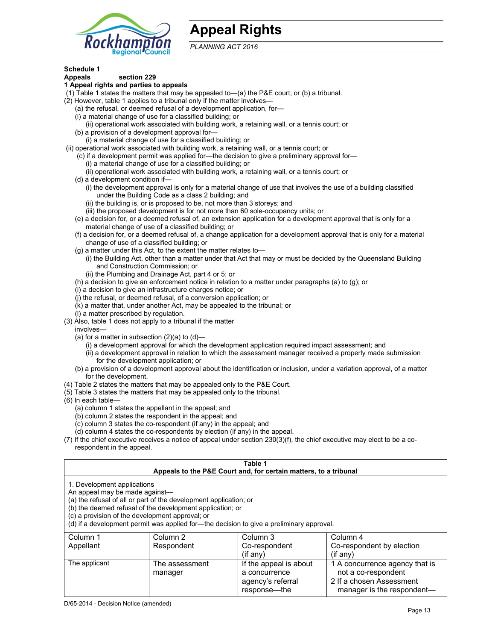

## **Appeal Rights**

*PLANNING ACT 2016*

### **Schedule 1**

#### **Appeals section 229 1 Appeal rights and parties to appeals**

- (1) Table 1 states the matters that may be appealed to—(a) the P&E court; or (b) a tribunal.
- (2) However, table 1 applies to a tribunal only if the matter involves—
	- (a) the refusal, or deemed refusal of a development application, for—
	- (i) a material change of use for a classified building; or
	- (ii) operational work associated with building work, a retaining wall, or a tennis court; or
	- (b) a provision of a development approval for—
	- (i) a material change of use for a classified building; or
- (ii) operational work associated with building work, a retaining wall, or a tennis court; or
	- (c) if a development permit was applied for—the decision to give a preliminary approval for—
		- (i) a material change of use for a classified building; or
		- (ii) operational work associated with building work, a retaining wall, or a tennis court; or
	- (d) a development condition if—
		- (i) the development approval is only for a material change of use that involves the use of a building classified under the Building Code as a class 2 building; and
		- (ii) the building is, or is proposed to be, not more than 3 storeys; and
		- (iii) the proposed development is for not more than 60 sole-occupancy units; or
	- (e) a decision for, or a deemed refusal of, an extension application for a development approval that is only for a material change of use of a classified building; or
	- (f) a decision for, or a deemed refusal of, a change application for a development approval that is only for a material change of use of a classified building; or
	- (g) a matter under this Act, to the extent the matter relates to—
		- (i) the Building Act, other than a matter under that Act that may or must be decided by the Queensland Building and Construction Commission; or
		- (ii) the Plumbing and Drainage Act, part 4 or 5; or
	- (h) a decision to give an enforcement notice in relation to a matter under paragraphs (a) to (g); or
	- (i) a decision to give an infrastructure charges notice; or
	- (j) the refusal, or deemed refusal, of a conversion application; or
	- (k) a matter that, under another Act, may be appealed to the tribunal; or
	- (l) a matter prescribed by regulation.
- (3) Also, table 1 does not apply to a tribunal if the matter
- involves—
	- (a) for a matter in subsection  $(2)(a)$  to  $(d)$ 
		- (i) a development approval for which the development application required impact assessment; and
		- (ii) a development approval in relation to which the assessment manager received a properly made submission for the development application; or
	- (b) a provision of a development approval about the identification or inclusion, under a variation approval, of a matter for the development.
- (4) Table 2 states the matters that may be appealed only to the P&E Court.
- (5) Table 3 states the matters that may be appealed only to the tribunal.
- (6) In each table—
	- (a) column 1 states the appellant in the appeal; and
	- (b) column 2 states the respondent in the appeal; and
	- (c) column 3 states the co-respondent (if any) in the appeal; and
	- (d) column 4 states the co-respondents by election (if any) in the appeal.
- (7) If the chief executive receives a notice of appeal under section 230(3)(f), the chief executive may elect to be a corespondent in the appeal.

| Table 1<br>Appeals to the P&E Court and, for certain matters, to a tribunal                                                                                                                                                                                                                                                                    |                           |                                         |                                                       |
|------------------------------------------------------------------------------------------------------------------------------------------------------------------------------------------------------------------------------------------------------------------------------------------------------------------------------------------------|---------------------------|-----------------------------------------|-------------------------------------------------------|
| 1. Development applications<br>An appeal may be made against-<br>(a) the refusal of all or part of the development application; or<br>(b) the deemed refusal of the development application; or<br>(c) a provision of the development approval; or<br>(d) if a development permit was applied for-the decision to give a preliminary approval. |                           |                                         |                                                       |
| Column 1                                                                                                                                                                                                                                                                                                                                       | Column 2                  | Column 3                                | Column 4                                              |
| Appellant                                                                                                                                                                                                                                                                                                                                      | Respondent                | Co-respondent<br>(i f an v)             | Co-respondent by election<br>$(f \text{ any})$        |
| The applicant                                                                                                                                                                                                                                                                                                                                  | The assessment<br>manager | If the appeal is about<br>a concurrence | 1 A concurrence agency that is<br>not a co-respondent |

agency's referral response—the

2 If a chosen Assessment manager is the respondent-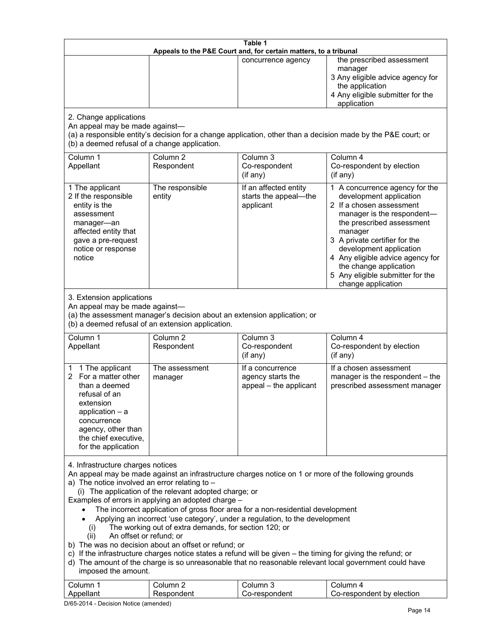| Table 1<br>Appeals to the P&E Court and, for certain matters, to a tribunal                                                                                                                                                                                                                                                                                                                                                                                                                                                                                                                                                                                                                                                                                                                                                                                                                                                                            |                                   |                                                                 |                                                                                                                                                                                                                                                                                                                                                 |
|--------------------------------------------------------------------------------------------------------------------------------------------------------------------------------------------------------------------------------------------------------------------------------------------------------------------------------------------------------------------------------------------------------------------------------------------------------------------------------------------------------------------------------------------------------------------------------------------------------------------------------------------------------------------------------------------------------------------------------------------------------------------------------------------------------------------------------------------------------------------------------------------------------------------------------------------------------|-----------------------------------|-----------------------------------------------------------------|-------------------------------------------------------------------------------------------------------------------------------------------------------------------------------------------------------------------------------------------------------------------------------------------------------------------------------------------------|
|                                                                                                                                                                                                                                                                                                                                                                                                                                                                                                                                                                                                                                                                                                                                                                                                                                                                                                                                                        |                                   | concurrence agency                                              | the prescribed assessment<br>manager<br>3 Any eligible advice agency for<br>the application<br>4 Any eligible submitter for the<br>application                                                                                                                                                                                                  |
| 2. Change applications<br>An appeal may be made against-<br>(b) a deemed refusal of a change application.                                                                                                                                                                                                                                                                                                                                                                                                                                                                                                                                                                                                                                                                                                                                                                                                                                              |                                   |                                                                 | (a) a responsible entity's decision for a change application, other than a decision made by the P&E court; or                                                                                                                                                                                                                                   |
| Column 1<br>Appellant                                                                                                                                                                                                                                                                                                                                                                                                                                                                                                                                                                                                                                                                                                                                                                                                                                                                                                                                  | Column <sub>2</sub><br>Respondent | Column 3<br>Co-respondent<br>(if any)                           | Column 4<br>Co-respondent by election<br>(if any)                                                                                                                                                                                                                                                                                               |
| 1 The applicant<br>2 If the responsible<br>entity is the<br>assessment<br>manager-an<br>affected entity that<br>gave a pre-request<br>notice or response<br>notice                                                                                                                                                                                                                                                                                                                                                                                                                                                                                                                                                                                                                                                                                                                                                                                     | The responsible<br>entity         | If an affected entity<br>starts the appeal-the<br>applicant     | 1 A concurrence agency for the<br>development application<br>2 If a chosen assessment<br>manager is the respondent-<br>the prescribed assessment<br>manager<br>3 A private certifier for the<br>development application<br>4 Any eligible advice agency for<br>the change application<br>5 Any eligible submitter for the<br>change application |
| 3. Extension applications<br>An appeal may be made against-<br>(a) the assessment manager's decision about an extension application; or<br>(b) a deemed refusal of an extension application.                                                                                                                                                                                                                                                                                                                                                                                                                                                                                                                                                                                                                                                                                                                                                           |                                   |                                                                 |                                                                                                                                                                                                                                                                                                                                                 |
| Column 1<br>Appellant                                                                                                                                                                                                                                                                                                                                                                                                                                                                                                                                                                                                                                                                                                                                                                                                                                                                                                                                  | Column <sub>2</sub><br>Respondent | Column 3<br>Co-respondent<br>(if any)                           | Column 4<br>Co-respondent by election<br>(if any)                                                                                                                                                                                                                                                                                               |
| 1 The applicant<br>1.<br>For a matter other<br>2<br>than a deemed<br>refusal of an<br>extension<br>application $-$ a<br>concurrence<br>agency, other than<br>the chief executive,<br>for the application                                                                                                                                                                                                                                                                                                                                                                                                                                                                                                                                                                                                                                                                                                                                               | The assessment<br>manager         | If a concurrence<br>agency starts the<br>appeal - the applicant | If a chosen assessment<br>manager is the respondent - the<br>prescribed assessment manager                                                                                                                                                                                                                                                      |
| 4. Infrastructure charges notices<br>An appeal may be made against an infrastructure charges notice on 1 or more of the following grounds<br>a) The notice involved an error relating to $-$<br>(i) The application of the relevant adopted charge; or<br>Examples of errors in applying an adopted charge -<br>The incorrect application of gross floor area for a non-residential development<br>Applying an incorrect 'use category', under a regulation, to the development<br>The working out of extra demands, for section 120; or<br>(i)<br>An offset or refund; or<br>(ii)<br>b) The was no decision about an offset or refund; or<br>c) If the infrastructure charges notice states a refund will be given - the timing for giving the refund; or<br>d) The amount of the charge is so unreasonable that no reasonable relevant local government could have<br>imposed the amount.<br>Column <sub>2</sub><br>Column 3<br>Column 4<br>Column 1 |                                   |                                                                 |                                                                                                                                                                                                                                                                                                                                                 |

D/65-2014 - Decision Notice (amended)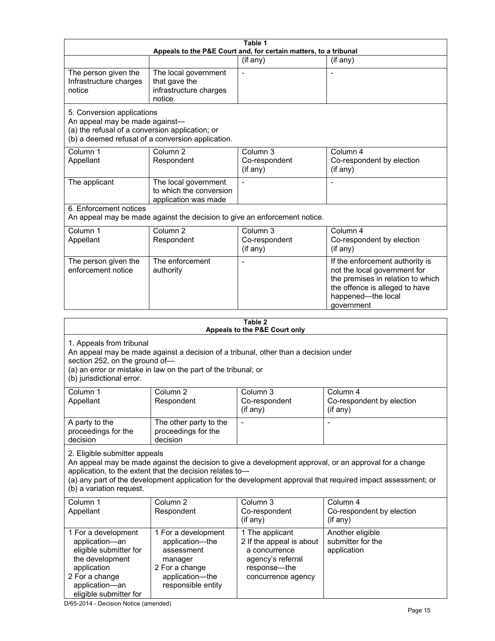| Table 1<br>Appeals to the P&E Court and, for certain matters, to a tribunal                                                                                                                                                                      |                                                                                                                            |                                                                                                                         |                                                                                                                                                                                                                        |
|--------------------------------------------------------------------------------------------------------------------------------------------------------------------------------------------------------------------------------------------------|----------------------------------------------------------------------------------------------------------------------------|-------------------------------------------------------------------------------------------------------------------------|------------------------------------------------------------------------------------------------------------------------------------------------------------------------------------------------------------------------|
|                                                                                                                                                                                                                                                  |                                                                                                                            | (if any)                                                                                                                | (if any)                                                                                                                                                                                                               |
| The person given the<br>Infrastructure charges<br>notice                                                                                                                                                                                         | The local government<br>that gave the<br>infrastructure charges<br>notice                                                  | $\blacksquare$                                                                                                          | $\overline{a}$                                                                                                                                                                                                         |
| 5. Conversion applications<br>An appeal may be made against-<br>(a) the refusal of a conversion application; or                                                                                                                                  | (b) a deemed refusal of a conversion application.                                                                          |                                                                                                                         |                                                                                                                                                                                                                        |
| Column 1<br>Appellant                                                                                                                                                                                                                            | Column <sub>2</sub><br>Respondent                                                                                          | Column <sub>3</sub><br>Co-respondent<br>(if any)                                                                        | Column 4<br>Co-respondent by election<br>(if any)                                                                                                                                                                      |
| The applicant                                                                                                                                                                                                                                    | The local government<br>to which the conversion<br>application was made                                                    |                                                                                                                         |                                                                                                                                                                                                                        |
| 6. Enforcement notices                                                                                                                                                                                                                           | An appeal may be made against the decision to give an enforcement notice.                                                  |                                                                                                                         |                                                                                                                                                                                                                        |
| Column 1<br>Appellant                                                                                                                                                                                                                            | Column 2<br>Respondent                                                                                                     | Column 3<br>Co-respondent<br>(if any)                                                                                   | Column 4<br>Co-respondent by election<br>(if any)                                                                                                                                                                      |
| The person given the<br>enforcement notice                                                                                                                                                                                                       | The enforcement<br>authority                                                                                               |                                                                                                                         | If the enforcement authority is<br>not the local government for<br>the premises in relation to which<br>the offence is alleged to have<br>happened-the local<br>government                                             |
|                                                                                                                                                                                                                                                  |                                                                                                                            | Table 2                                                                                                                 |                                                                                                                                                                                                                        |
|                                                                                                                                                                                                                                                  |                                                                                                                            | Appeals to the P&E Court only                                                                                           |                                                                                                                                                                                                                        |
| 1. Appeals from tribunal<br>An appeal may be made against a decision of a tribunal, other than a decision under<br>section 252, on the ground of-<br>(a) an error or mistake in law on the part of the tribunal; or<br>(b) jurisdictional error. |                                                                                                                            |                                                                                                                         |                                                                                                                                                                                                                        |
| Column 1<br>Appellant                                                                                                                                                                                                                            | Column 2<br>Respondent                                                                                                     | Column 3<br>Co-respondent<br>(if any)                                                                                   | Column 4<br>Co-respondent by election<br>(if any)                                                                                                                                                                      |
| A party to the<br>proceedings for the<br>decision                                                                                                                                                                                                | The other party to the<br>proceedings for the<br>decision                                                                  |                                                                                                                         |                                                                                                                                                                                                                        |
| 2. Eligible submitter appeals<br>(b) a variation request.                                                                                                                                                                                        | application, to the extent that the decision relates to-                                                                   |                                                                                                                         | An appeal may be made against the decision to give a development approval, or an approval for a change<br>(a) any part of the development application for the development approval that required impact assessment; or |
| Column 1<br>Appellant                                                                                                                                                                                                                            | Column <sub>2</sub><br>Respondent                                                                                          | Column 3<br>Co-respondent<br>(if any)                                                                                   | Column 4<br>Co-respondent by election<br>(if any)                                                                                                                                                                      |
| 1 For a development<br>application-an<br>eligible submitter for<br>the development<br>application<br>2 For a change<br>application-an<br>eligible submitter for                                                                                  | 1 For a development<br>application-the<br>assessment<br>manager<br>2 For a change<br>application-the<br>responsible entity | 1 The applicant<br>2 If the appeal is about<br>a concurrence<br>agency's referral<br>response-the<br>concurrence agency | Another eligible<br>submitter for the<br>application                                                                                                                                                                   |

D/65-2014 - Decision Notice (amended)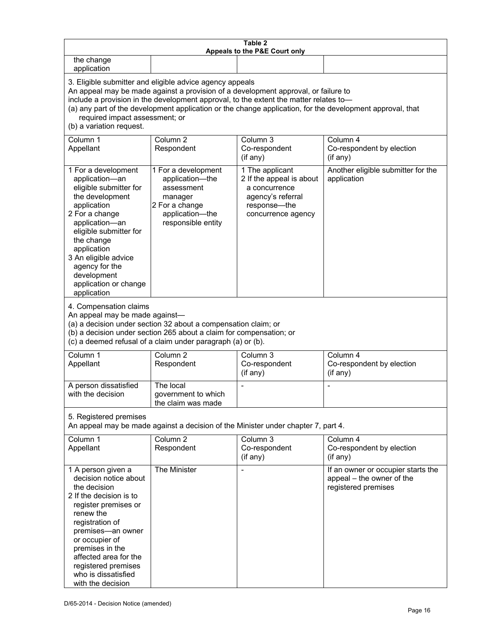| Table 2<br>Appeals to the P&E Court only                                                                                                                                                                                                                                                                                                                                                                           |                                                                                                                            |                                                                                                                         |                                                                                        |
|--------------------------------------------------------------------------------------------------------------------------------------------------------------------------------------------------------------------------------------------------------------------------------------------------------------------------------------------------------------------------------------------------------------------|----------------------------------------------------------------------------------------------------------------------------|-------------------------------------------------------------------------------------------------------------------------|----------------------------------------------------------------------------------------|
| the change<br>application                                                                                                                                                                                                                                                                                                                                                                                          |                                                                                                                            |                                                                                                                         |                                                                                        |
| 3. Eligible submitter and eligible advice agency appeals<br>An appeal may be made against a provision of a development approval, or failure to<br>include a provision in the development approval, to the extent the matter relates to-<br>(a) any part of the development application or the change application, for the development approval, that<br>required impact assessment; or<br>(b) a variation request. |                                                                                                                            |                                                                                                                         |                                                                                        |
| Column 1<br>Appellant                                                                                                                                                                                                                                                                                                                                                                                              | Column <sub>2</sub><br>Respondent                                                                                          | Column <sub>3</sub><br>Co-respondent<br>(if any)                                                                        | Column 4<br>Co-respondent by election<br>(if any)                                      |
| 1 For a development<br>application-an<br>eligible submitter for<br>the development<br>application<br>2 For a change<br>application-an<br>eligible submitter for<br>the change<br>application<br>3 An eligible advice<br>agency for the<br>development<br>application or change<br>application                                                                                                                      | 1 For a development<br>application-the<br>assessment<br>manager<br>2 For a change<br>application-the<br>responsible entity | 1 The applicant<br>2 If the appeal is about<br>a concurrence<br>agency's referral<br>response-the<br>concurrence agency | Another eligible submitter for the<br>application                                      |
| 4. Compensation claims<br>An appeal may be made against-<br>(a) a decision under section 32 about a compensation claim; or<br>(b) a decision under section 265 about a claim for compensation; or<br>(c) a deemed refusal of a claim under paragraph (a) or (b).                                                                                                                                                   |                                                                                                                            |                                                                                                                         |                                                                                        |
| Column 1<br>Appellant                                                                                                                                                                                                                                                                                                                                                                                              | Column <sub>2</sub><br>Respondent                                                                                          | Column $3$<br>Co-respondent<br>(if any)                                                                                 | Column 4<br>Co-respondent by election<br>(if any)                                      |
| A person dissatisfied<br>with the decision                                                                                                                                                                                                                                                                                                                                                                         | The local<br>government to which<br>the claim was made                                                                     |                                                                                                                         |                                                                                        |
| 5. Registered premises<br>An appeal may be made against a decision of the Minister under chapter 7, part 4.                                                                                                                                                                                                                                                                                                        |                                                                                                                            |                                                                                                                         |                                                                                        |
| Column 1<br>Appellant                                                                                                                                                                                                                                                                                                                                                                                              | Column <sub>2</sub><br>Respondent                                                                                          | Column 3<br>Co-respondent<br>(if any)                                                                                   | Column 4<br>Co-respondent by election<br>(if any)                                      |
| 1 A person given a<br>decision notice about<br>the decision<br>2 If the decision is to<br>register premises or<br>renew the<br>registration of<br>premises-an owner<br>or occupier of<br>premises in the<br>affected area for the<br>registered premises<br>who is dissatisfied<br>with the decision                                                                                                               | The Minister                                                                                                               |                                                                                                                         | If an owner or occupier starts the<br>appeal - the owner of the<br>registered premises |